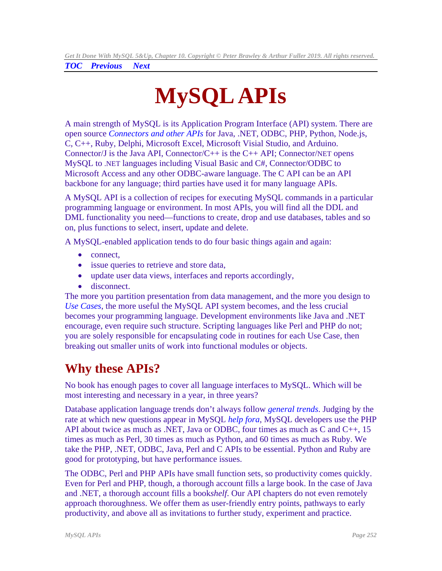<span id="page-0-0"></span>*TOC**Previous**Next*

# **MySQL APIs**

A main strength of MySQL is its Application Program Interface (API) system. There are open source *[Connectors and other APIs](https://www.mysql.com/products/connector/)* for Java, .NET, ODBC, PHP, Python, Node.js, C, C++, Ruby, Delphi, Microsoft Excel, Microsoft Visial Studio, and Arduino. Connector/J is the Java API, Connector/C++ is the C++ API; Connector/NET opens MySQL to .NET languages including Visual Basic and C#, Connector/ODBC to Microsoft Access and any other ODBC-aware language. The C API can be an API backbone for any language; third parties have used it for many language APIs.

A MySQL API is a collection of recipes for executing MySQL commands in a particular programming language or environment. In most APIs, you will find all the DDL and DML functionality you need—functions to create, drop and use databases, tables and so on, plus functions to select, insert, update and delete.

A MySQL-enabled application tends to do four basic things again and again:

- connect,
- issue queries to retrieve and store data,
- update user data views, interfaces and reports accordingly,
- disconnect.

The more you partition presentation from data management, and the more you design to *Use Cases*, the more useful the MySQL API system becomes, and the less crucial becomes your programming language. Development environments like Java and .NET encourage, even require such structure. Scripting languages like Perl and PHP do not; you are solely responsible for encapsulating code in routines for each Use Case, then breaking out smaller units of work into functional modules or objects.

## **Why these APIs?**

No book has enough pages to cover all language interfaces to MySQL. Which will be most interesting and necessary in a year, in three years?

Database application language trends don't always follow *[general trends](http://www.tiobe.com/index.php/content/paperinfo/tpci/index.html)*. Judging by the rate at which new questions appear in MySQL *[help fora](http://forums.mysql.com/index.php)*, MySQL developers use the PHP API about twice as much as .NET, Java or ODBC, four times as much as C and C++, 15 times as much as Perl, 30 times as much as Python, and 60 times as much as Ruby. We take the PHP, .NET, ODBC, Java, Perl and C APIs to be essential. Python and Ruby are good for prototyping, but have performance issues.

The ODBC, Perl and PHP APIs have small function sets, so productivity comes quickly. Even for Perl and PHP, though, a thorough account fills a large book. In the case of Java and .NET, a thorough account fills a book*shelf*. Our API chapters do not even remotely approach thoroughness. We offer them as user-friendly entry points, pathways to early productivity, and above all as invitations to further study, experiment and practice.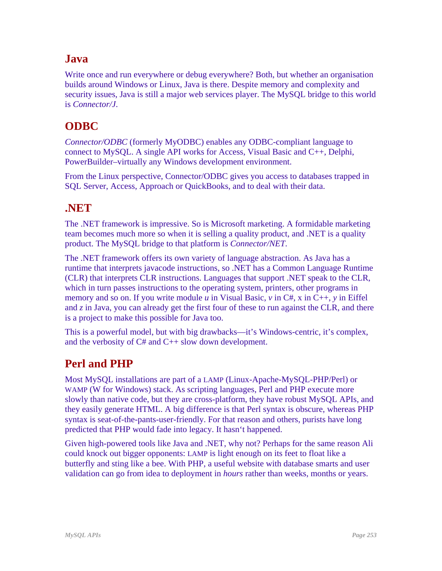#### **Java**

Write once and run everywhere or debug everywhere? Both, but whether an organisation builds around Windows or Linux, Java is there. Despite memory and complexity and security issues, Java is still a major web services player. The MySQL bridge to this world is *Connector/J*.

#### **ODBC**

*Connector/ODBC* (formerly MyODBC) enables any ODBC-compliant language to connect to MySQL. A single API works for Access, Visual Basic and C++, Delphi, PowerBuilder–virtually any Windows development environment.

From the Linux perspective, Connector/ODBC gives you access to databases trapped in SQL Server, Access, Approach or QuickBooks, and to deal with their data.

#### **.NET**

The .NET framework is impressive. So is Microsoft marketing. A formidable marketing team becomes much more so when it is selling a quality product, and .NET is a quality product. The MySQL bridge to that platform is *Connector/NET*.

The .NET framework offers its own variety of language abstraction. As Java has a runtime that interprets javacode instructions, so .NET has a Common Language Runtime (CLR) that interprets CLR instructions. Languages that support .NET speak to the CLR, which in turn passes instructions to the operating system, printers, other programs in memory and so on. If you write module  $u$  in Visual Basic,  $v$  in  $C#, x$  in  $C++, y$  in Eiffel and *z* in Java, you can already get the first four of these to run against the CLR, and there is a project to make this possible for Java too.

This is a powerful model, but with big drawbacks—it's Windows-centric, it's complex, and the verbosity of C# and C++ slow down development.

#### **Perl and PHP**

Most MySQL installations are part of a LAMP (Linux-Apache-MySQL-PHP/Perl) or WAMP (W for Windows) stack. As scripting languages, Perl and PHP execute more slowly than native code, but they are cross-platform, they have robust MySQL APIs, and they easily generate HTML. A big difference is that Perl syntax is obscure, whereas PHP syntax is seat-of-the-pants-user-friendly. For that reason and others, purists have long predicted that PHP would fade into legacy. It hasn't happened.

Given high-powered tools like Java and .NET, why not? Perhaps for the same reason Ali could knock out bigger opponents: LAMP is light enough on its feet to float like a butterfly and sting like a bee. With PHP, a useful website with database smarts and user validation can go from idea to deployment in *hours* rather than weeks, months or years.